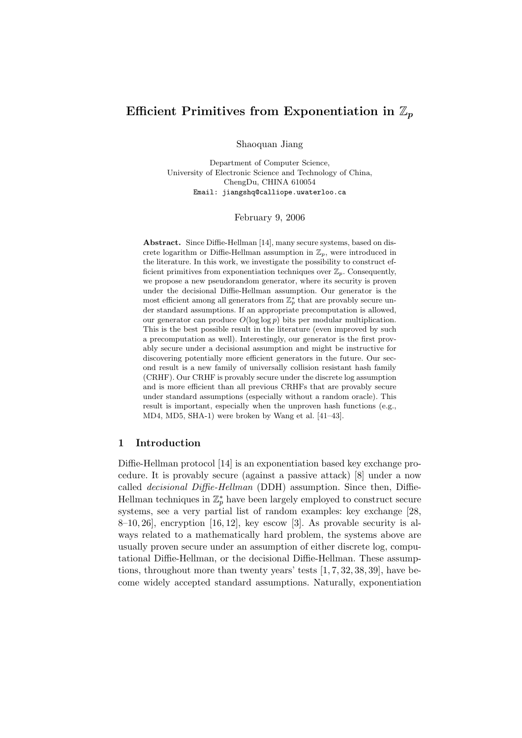# Efficient Primitives from Exponentiation in  $\mathbb{Z}_p$

Shaoquan Jiang

Department of Computer Science, University of Electronic Science and Technology of China, ChengDu, CHINA 610054 Email: jiangshq@calliope.uwaterloo.ca

February 9, 2006

Abstract. Since Diffie-Hellman [14], many secure systems, based on discrete logarithm or Diffie-Hellman assumption in  $\mathbb{Z}_p$ , were introduced in the literature. In this work, we investigate the possibility to construct efficient primitives from exponentiation techniques over  $\mathbb{Z}_p$ . Consequently, we propose a new pseudorandom generator, where its security is proven under the decisional Diffie-Hellman assumption. Our generator is the most efficient among all generators from  $\mathbb{Z}_p^*$  that are provably secure under standard assumptions. If an appropriate precomputation is allowed, our generator can produce  $O(\log \log p)$  bits per modular multiplication. This is the best possible result in the literature (even improved by such a precomputation as well). Interestingly, our generator is the first provably secure under a decisional assumption and might be instructive for discovering potentially more efficient generators in the future. Our second result is a new family of universally collision resistant hash family (CRHF). Our CRHF is provably secure under the discrete log assumption and is more efficient than all previous CRHFs that are provably secure under standard assumptions (especially without a random oracle). This result is important, especially when the unproven hash functions (e.g., MD4, MD5, SHA-1) were broken by Wang et al. [41–43].

#### 1 Introduction

Diffie-Hellman protocol [14] is an exponentiation based key exchange procedure. It is provably secure (against a passive attack) [8] under a now called *decisional Diffie-Hellman* (DDH) assumption. Since then, Diffie-Hellman techniques in  $\mathbb{Z}_p^*$  have been largely employed to construct secure systems, see a very partial list of random examples: key exchange [28,  $8-10, 26$ , encryption [16, 12], key escow [3]. As provable security is always related to a mathematically hard problem, the systems above are usually proven secure under an assumption of either discrete log, computational Diffie-Hellman, or the decisional Diffie-Hellman. These assumptions, throughout more than twenty years' tests [1, 7, 32, 38, 39], have become widely accepted standard assumptions. Naturally, exponentiation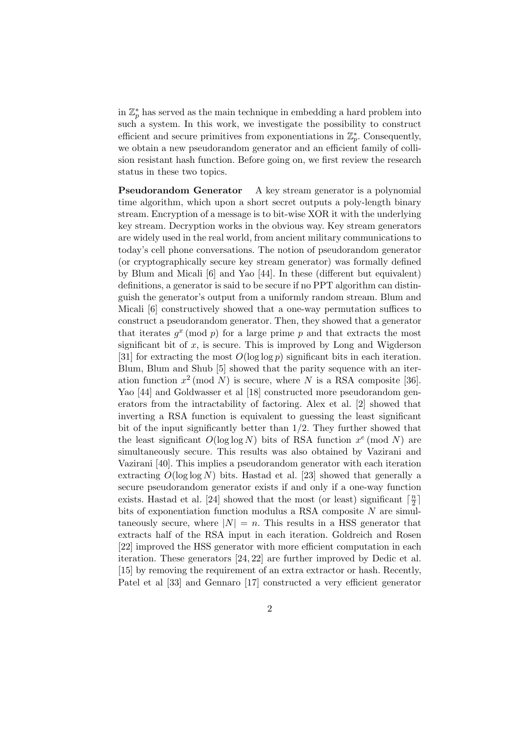in  $\mathbb{Z}_p^*$  has served as the main technique in embedding a hard problem into such a system. In this work, we investigate the possibility to construct efficient and secure primitives from exponentiations in  $\mathbb{Z}_p^*$ . Consequently, we obtain a new pseudorandom generator and an efficient family of collision resistant hash function. Before going on, we first review the research status in these two topics.

Pseudorandom Generator A key stream generator is a polynomial time algorithm, which upon a short secret outputs a poly-length binary stream. Encryption of a message is to bit-wise XOR it with the underlying key stream. Decryption works in the obvious way. Key stream generators are widely used in the real world, from ancient military communications to today's cell phone conversations. The notion of pseudorandom generator (or cryptographically secure key stream generator) was formally defined by Blum and Micali [6] and Yao [44]. In these (different but equivalent) definitions, a generator is said to be secure if no PPT algorithm can distinguish the generator's output from a uniformly random stream. Blum and Micali [6] constructively showed that a one-way permutation suffices to construct a pseudorandom generator. Then, they showed that a generator that iterates  $g^x \pmod{p}$  for a large prime p and that extracts the most significant bit of  $x$ , is secure. This is improved by Long and Wigderson [31] for extracting the most  $O(\log \log p)$  significant bits in each iteration. Blum, Blum and Shub [5] showed that the parity sequence with an iteration function  $x^2 \pmod{N}$  is secure, where N is a RSA composite [36]. Yao [44] and Goldwasser et al [18] constructed more pseudorandom generators from the intractability of factoring. Alex et al. [2] showed that inverting a RSA function is equivalent to guessing the least significant bit of the input significantly better than 1/2. They further showed that the least significant  $O(\log \log N)$  bits of RSA function  $x^e \pmod{N}$  are simultaneously secure. This results was also obtained by Vazirani and Vazirani [40]. This implies a pseudorandom generator with each iteration extracting  $O(\log \log N)$  bits. Hastad et al. [23] showed that generally a secure pseudorandom generator exists if and only if a one-way function exists. Hastad et al. [24] showed that the most (or least) significant  $\lceil \frac{n}{2} \rceil$  $\frac{n}{2}$ ] bits of exponentiation function modulus a RSA composite N are simultaneously secure, where  $|N| = n$ . This results in a HSS generator that extracts half of the RSA input in each iteration. Goldreich and Rosen [22] improved the HSS generator with more efficient computation in each iteration. These generators [24, 22] are further improved by Dedic et al. [15] by removing the requirement of an extractor or hash. Recently, Patel et al [33] and Gennaro [17] constructed a very efficient generator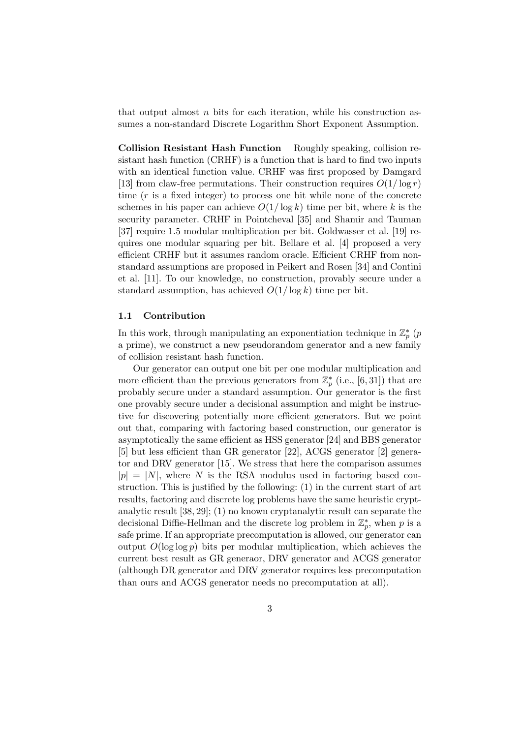that output almost  $n$  bits for each iteration, while his construction assumes a non-standard Discrete Logarithm Short Exponent Assumption.

Collision Resistant Hash Function Roughly speaking, collision resistant hash function (CRHF) is a function that is hard to find two inputs with an identical function value. CRHF was first proposed by Damgard [13] from claw-free permutations. Their construction requires  $O(1/\log r)$ time  $(r$  is a fixed integer) to process one bit while none of the concrete schemes in his paper can achieve  $O(1/\log k)$  time per bit, where k is the security parameter. CRHF in Pointcheval [35] and Shamir and Tauman [37] require 1.5 modular multiplication per bit. Goldwasser et al. [19] requires one modular squaring per bit. Bellare et al. [4] proposed a very efficient CRHF but it assumes random oracle. Efficient CRHF from nonstandard assumptions are proposed in Peikert and Rosen [34] and Contini et al. [11]. To our knowledge, no construction, provably secure under a standard assumption, has achieved  $O(1/\log k)$  time per bit.

#### 1.1 Contribution

In this work, through manipulating an exponentiation technique in  $\mathbb{Z}_p^*$  (*p* a prime), we construct a new pseudorandom generator and a new family of collision resistant hash function.

Our generator can output one bit per one modular multiplication and more efficient than the previous generators from  $\mathbb{Z}_p^*$  (i.e., [6, 31]) that are probably secure under a standard assumption. Our generator is the first one provably secure under a decisional assumption and might be instructive for discovering potentially more efficient generators. But we point out that, comparing with factoring based construction, our generator is asymptotically the same efficient as HSS generator [24] and BBS generator [5] but less efficient than GR generator [22], ACGS generator [2] generator and DRV generator [15]. We stress that here the comparison assumes  $|p| = |N|$ , where N is the RSA modulus used in factoring based construction. This is justified by the following: (1) in the current start of art results, factoring and discrete log problems have the same heuristic cryptanalytic result [38, 29]; (1) no known cryptanalytic result can separate the decisional Diffie-Hellman and the discrete log problem in  $\mathbb{Z}_p^*$ , when p is a safe prime. If an appropriate precomputation is allowed, our generator can output  $O(\log \log p)$  bits per modular multiplication, which achieves the current best result as GR generaor, DRV generator and ACGS generator (although DR generator and DRV generator requires less precomputation than ours and ACGS generator needs no precomputation at all).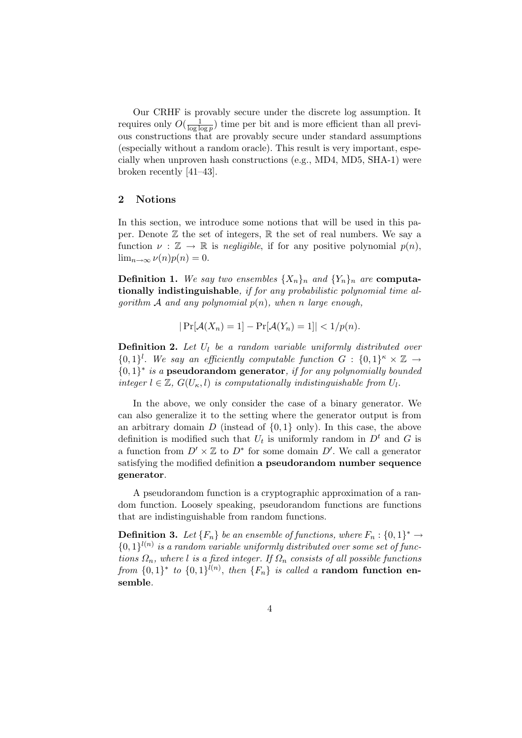Our CRHF is provably secure under the discrete log assumption. It requires only  $O(\frac{1}{\log k})$  $\frac{1}{\log \log p}$  time per bit and is more efficient than all previous constructions that are provably secure under standard assumptions (especially without a random oracle). This result is very important, especially when unproven hash constructions (e.g., MD4, MD5, SHA-1) were broken recently [41–43].

## 2 Notions

In this section, we introduce some notions that will be used in this paper. Denote  $\mathbb Z$  the set of integers,  $\mathbb R$  the set of real numbers. We say a function  $\nu : \mathbb{Z} \to \mathbb{R}$  is *negligible*, if for any positive polynomial  $p(n)$ ,  $\lim_{n\to\infty}\nu(n)p(n)=0.$ 

**Definition 1.** We say two ensembles  $\{X_n\}_n$  and  $\{Y_n\}_n$  are **computa**tionally indistinguishable, if for any probabilistic polynomial time algorithm  $A$  and any polynomial  $p(n)$ , when n large enough,

$$
|\Pr[\mathcal{A}(X_n) = 1] - \Pr[\mathcal{A}(Y_n) = 1]| < 1/p(n).
$$

**Definition 2.** Let  $U_l$  be a random variable uniformly distributed over  $\{0,1\}^l$ . We say an efficiently computable function  $G: \{0,1\}^k \times \mathbb{Z} \rightarrow$  ${0,1}^*$  is a pseudorandom generator, if for any polynomially bounded integer  $l \in \mathbb{Z}$ ,  $G(U_{\kappa}, l)$  is computationally indistinguishable from  $U_l$ .

In the above, we only consider the case of a binary generator. We can also generalize it to the setting where the generator output is from an arbitrary domain  $D$  (instead of  $\{0,1\}$  only). In this case, the above definition is modified such that  $U_t$  is uniformly random in  $D<sup>t</sup>$  and G is a function from  $D' \times \mathbb{Z}$  to  $D^*$  for some domain  $D'$ . We call a generator satisfying the modified definition a pseudorandom number sequence generator.

A pseudorandom function is a cryptographic approximation of a random function. Loosely speaking, pseudorandom functions are functions that are indistinguishable from random functions.

**Definition 3.** Let  ${F_n}$  be an ensemble of functions, where  $F_n: {0,1}^* \to$  ${0,1\}^{l(n)}$  is a random variable uniformly distributed over some set of functions  $\Omega_n$ , where l is a fixed integer. If  $\Omega_n$  consists of all possible functions from  $\{0,1\}^*$  to  $\{0,1\}^{l(n)}$ , then  $\{F_n\}$  is called a random function ensemble.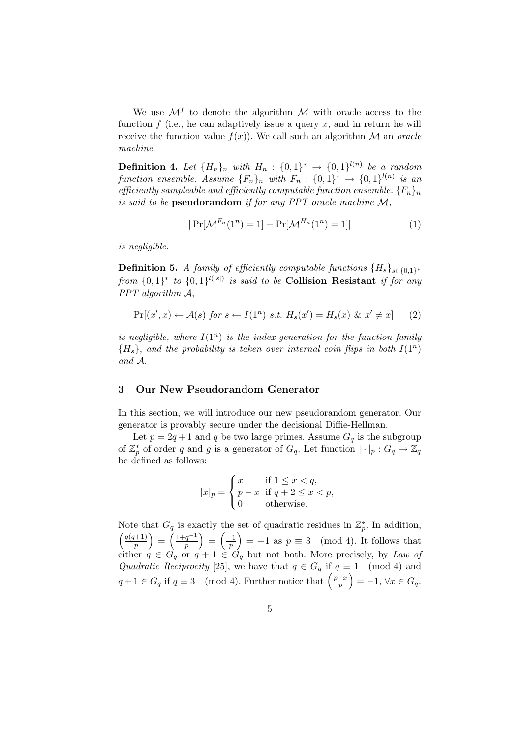We use  $\mathcal{M}^f$  to denote the algorithm  $\mathcal M$  with oracle access to the function  $f$  (i.e., he can adaptively issue a query  $x$ , and in return he will receive the function value  $f(x)$ ). We call such an algorithm M an *oracle* machine.

**Definition 4.** Let  ${H_n}_n$  with  $H_n$  :  ${0,1}^* \rightarrow {0,1}^{l(n)}$  be a random function ensemble. Assume  $\{F_n\}_n$  with  $F_n$  :  $\{0,1\}^* \rightarrow \{0,1\}^{l(n)}$  is an efficiently sampleable and efficiently computable function ensemble.  ${F_n}_n$ is said to be pseudorandom if for any PPT oracle machine  $M$ ,

$$
|\Pr[\mathcal{M}^{F_n}(1^n) = 1] - \Pr[\mathcal{M}^{H_n}(1^n) = 1]| \tag{1}
$$

is negligible.

**Definition 5.** A family of efficiently computable functions  ${H_s}_{s \in \{0,1\}^*}$ from  $\{0,1\}^*$  to  $\{0,1\}^{l(|s|)}$  is said to be **Collision Resistant** if for any PPT algorithm  $A$ ,

$$
\Pr[(x',x) \leftarrow \mathcal{A}(s) \text{ for } s \leftarrow I(1^n) \text{ s.t. } H_s(x') = H_s(x) \& x' \neq x] \tag{2}
$$

is negligible, where  $I(1^n)$  is the index generation for the function family  ${H_s}$ , and the probability is taken over internal coin flips in both  $I(1^n)$ and A.

## 3 Our New Pseudorandom Generator

In this section, we will introduce our new pseudorandom generator. Our generator is provably secure under the decisional Diffie-Hellman.

Let  $p = 2q + 1$  and q be two large primes. Assume  $G_q$  is the subgroup of  $\mathbb{Z}_p^*$  of order q and g is a generator of  $G_q$ . Let function  $|\cdot|_p: G_q \to \mathbb{Z}_q$ be defined as follows:

$$
|x|_p = \begin{cases} x & \text{if } 1 \le x < q, \\ p - x & \text{if } q + 2 \le x < p, \\ 0 & \text{otherwise.} \end{cases}
$$

Note that  $G_q$  is exactly the set of quadratic residues in  $\mathbb{Z}_p^*$ . In addition,  $q(q+1)$  $\binom{p+1}{p} = \left(\frac{1+q^{-1}}{p}\right)$  $\left(\frac{q^{-1}}{p}\right) = \left(\frac{-1}{p}\right)$  $\left(\frac{-1}{p}\right) = -1$  as  $p \equiv 3 \pmod{4}$ . It follows that either  $q \in G_q$  or  $q + 1 \in G_q$  but not both. More precisely, by Law of Quadratic Reciprocity [25], we have that  $q \in G_q$  if  $q \equiv 1 \pmod{4}$  and Quadratic Reciprocity [25], we have that  $q \in G_q$  if  $q \equiv 3 \pmod{4}$ . Further notice that  $\left(\frac{p-x}{p}\right)$  $\left(\frac{-x}{p}\right) = -1, \forall x \in G_q.$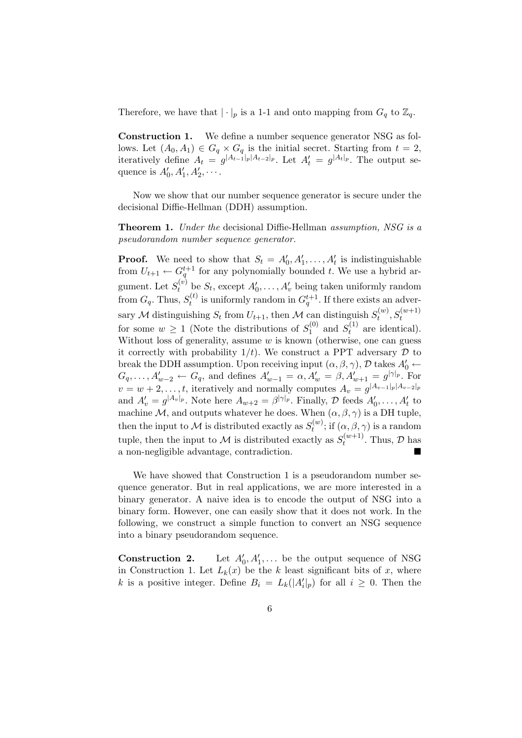Therefore, we have that  $|\cdot|_p$  is a 1-1 and onto mapping from  $G_q$  to  $\mathbb{Z}_q$ .

Construction 1. We define a number sequence generator NSG as follows. Let  $(A_0, A_1) \in G_q \times G_q$  is the initial secret. Starting from  $t = 2$ , iteratively define  $A_t = g^{|A_{t-1}|_p |A_{t-2}|_p}$ . Let  $A'_t = g^{|A_t|_p}$ . The output sequence is  $A'_0, A'_1, A'_2, \cdots$ .

Now we show that our number sequence generator is secure under the decisional Diffie-Hellman (DDH) assumption.

Theorem 1. Under the decisional Diffie-Hellman assumption, NSG is a pseudorandom number sequence generator.

**Proof.** We need to show that  $S_t = A'_0, A'_1, \ldots, A'_t$  is indistinguishable from  $U_{t+1} \leftarrow G_q^{t+1}$  for any polynomially bounded t. We use a hybrid argument. Let  $S_t^{(v)}$  be  $S_t$ , except  $A'_0, \ldots, A'_v$  being taken uniformly random from  $G_q$ . Thus,  $S_t^{(t)}$  $t_t^{(t)}$  is uniformly random in  $G_q^{t+1}$ . If there exists an adversary M distinguishing  $S_t$  from  $U_{t+1}$ , then M can distinguish  $S_t^{(w)}$  $f_t^{(w)}, S_t^{(w+1)}$ for some  $w \geq 1$  (Note the distributions of  $S_1^{(0)}$  $S_t^{(0)}$  and  $S_t^{(1)}$  $t_t^{(1)}$  are identical). Without loss of generality, assume  $w$  is known (otherwise, one can guess it correctly with probability  $1/t$ ). We construct a PPT adversary  $\mathcal D$  to break the DDH assumption. Upon receiving input  $(\alpha, \beta, \gamma)$ , D takes  $A'_0 \leftarrow$  $G_q, \ldots, A'_{w-2} \leftarrow G_q$ , and defines  $A'_{w-1} = \alpha, A'_{w} = \beta, A'_{w+1} = g^{|\gamma|_p}$ . For  $v = w + 2, \ldots, t$ , iteratively and normally computes  $A_v = g^{|A_{v-1}|_p |A_{v-2}|_p}$ and  $A'_v = g^{|A_v|_p}$ . Note here  $A_{w+2} = \beta^{|\gamma|_p}$ . Finally, D feeds  $A'_0, \ldots, A'_t$  to machine M, and outputs whatever he does. When  $(\alpha, \beta, \gamma)$  is a DH tuple, then the input to M is distributed exactly as  $S_t^{(w)}$  $t_t^{(w)}$ ; if  $(\alpha, \beta, \gamma)$  is a random tuple, then the input to M is distributed exactly as  $S_t^{(w+1)}$  $t^{(w+1)}$ . Thus,  $\mathcal{D}$  has a non-negligible advantage, contradiction.

We have showed that Construction 1 is a pseudorandom number sequence generator. But in real applications, we are more interested in a binary generator. A naive idea is to encode the output of NSG into a binary form. However, one can easily show that it does not work. In the following, we construct a simple function to convert an NSG sequence into a binary pseudorandom sequence.

Construction 2.  $\zeta_0, A'_1, \ldots$  be the output sequence of NSG in Construction 1. Let  $L_k(x)$  be the k least significant bits of x, where k is a positive integer. Define  $B_i = L_k(|A'_i|_p)$  for all  $i \geq 0$ . Then the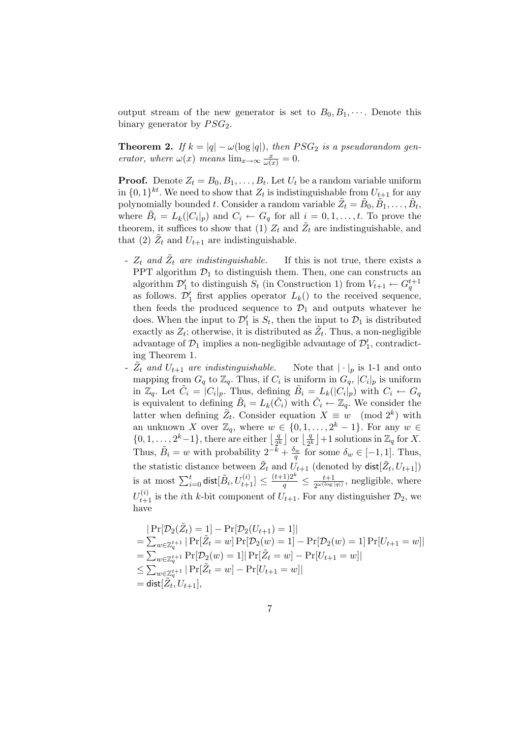output stream of the new generator is set to  $B_0, B_1, \cdots$ . Denote this binary generator by  $PSG_2$ .

**Theorem 2.** If  $k = |q| - \omega(\log|q|)$ , then  $PSG_2$  is a pseudorandom generator, where  $\omega(x)$  means  $\lim_{x\to\infty} \frac{x}{\omega(x)} = 0$ .

**Proof.** Denote  $Z_t = B_0, B_1, \ldots, B_t$ . Let  $U_t$  be a random variable uniform in  $\{0,1\}^{kt}$ . We need to show that  $Z_t$  is indistinguishable from  $U_{t+1}$  for any polynomially bounded t. Consider a random variable  $\tilde{Z}_t = \tilde{B}_0, \tilde{B_1}, \ldots, \tilde{B_t},$ where  $\tilde{B}_i = L_k(|C_i|_p)$  and  $C_i \leftarrow G_q$  for all  $i = 0, 1, \ldots, t$ . To prove the theorem, it suffices to show that  $(1)$   $Z_t$  and  $\tilde{Z}_t$  are indistinguishable, and that (2)  $\tilde{Z}_t$  and  $U_{t+1}$  are indistinguishable.

- $Z_t$  and  $\tilde{Z}_t$  are indistinguishable. If this is not true, there exists a PPT algorithm  $\mathcal{D}_1$  to distinguish them. Then, one can constructs an algorithm  $\mathcal{D}'_1$  to distinguish  $S_t$  (in Construction 1) from  $V_{t+1} \leftarrow G_q^{t+1}$ as follows.  $\mathcal{D}'_1$  first applies operator  $L_k()$  to the received sequence, then feeds the produced sequence to  $\mathcal{D}_1$  and outputs whatever he does. When the input to  $\mathcal{D}'_1$  is  $S_t$ , then the input to  $\mathcal{D}_1$  is distributed exactly as  $Z_t$ ; otherwise, it is distributed as  $\tilde{Z_t}$ . Thus, a non-negligible advantage of  $\mathcal{D}_1$  implies a non-negligible advantage of  $\mathcal{D}'_1$ , contradicting Theorem 1.
- $\tilde{Z}_t$  and  $U_{t+1}$  are indistinguishable. Note that  $|\cdot|_p$  is 1-1 and onto mapping from  $G_q$  to  $\mathbb{Z}_q$ . Thus, if  $C_i$  is uniform in  $G_q$ ,  $|C_i|_p$  is uniform in  $\mathbb{Z}_q$ . Let  $\tilde{C}_i = |C_i|_p$ . Thus, defining  $\tilde{B}_i = L_k(|C_i|_p)$  with  $C_i \leftarrow G_q$ is equivalent to defining  $\tilde{B}_i = L_k(\tilde{C}_i)$  with  $\tilde{C}_i \leftarrow \mathbb{Z}_q$ . We consider the latter when defining  $\tilde{Z}_t$ . Consider equation  $X \equiv w \pmod{2^k}$  with an unknown X over  $\mathbb{Z}_q$ , where  $w \in \{0, 1, \ldots, 2^k - 1\}$ . For any  $w \in$ an unknown  $\Lambda$  over  $\mathbb{Z}_q$ , where w<br>{0, 1, ...,  $2^k-1$ }, there are either  $\frac{q}{2k}$  $\frac{q}{2^k}$  or  $\left\lfloor \frac{q}{2^k} \right\rfloor$  $\frac{q}{2^k}$  | +1 solutions in  $\mathbb{Z}_q$  for X. Thus,  $\tilde{B}_i = w$  with probability  $2^{-\overline{k}} + \frac{\delta_w}{q}$  for some  $\delta_w \in [-1, 1]$ . Thus, the statistic distance between  $\tilde{Z}_t$  and  $\tilde{U}_{t+1}$  (denoted by  $\text{dist}[\tilde{Z}_t, U_{t+1}]$ )<br>is at most  $\sum_{i=0}^t \text{dist}[\tilde{B}_i, U_{t+1}^{(i)}] \le \frac{(t+1)2^k}{q} \le \frac{t+1}{2^{\omega(\log|q|)}},$  negligible, where  $\frac{t+1}{2^{\omega(\log|q|)}},$  negligible, where  $U_{t+1}^{(i)}$  is the *i*th *k*-bit component of  $U_{t+1}$ . For any distinguisher  $\mathcal{D}_2$ , we have

$$
|\Pr[\mathcal{D}_2(\tilde{Z}_t) = 1] - \Pr[\mathcal{D}_2(U_{t+1}) = 1]|
$$
  
=  $\sum_{w \in \mathbb{Z}_q^{t+1}} |\Pr[\tilde{Z}_t = w] \Pr[\mathcal{D}_2(w) = 1] - \Pr[\mathcal{D}_2(w) = 1] \Pr[U_{t+1} = w]|$   
=  $\sum_{w \in \mathbb{Z}_q^{t+1}} \Pr[\mathcal{D}_2(w) = 1] |\Pr[\tilde{Z}_t = w] - \Pr[U_{t+1} = w]|$   
 $\leq \sum_{w \in \mathbb{Z}_q^{t+1}} |\Pr[\tilde{Z}_t = w] - \Pr[U_{t+1} = w]|$   
=  $dist[\tilde{Z}_t, U_{t+1}],$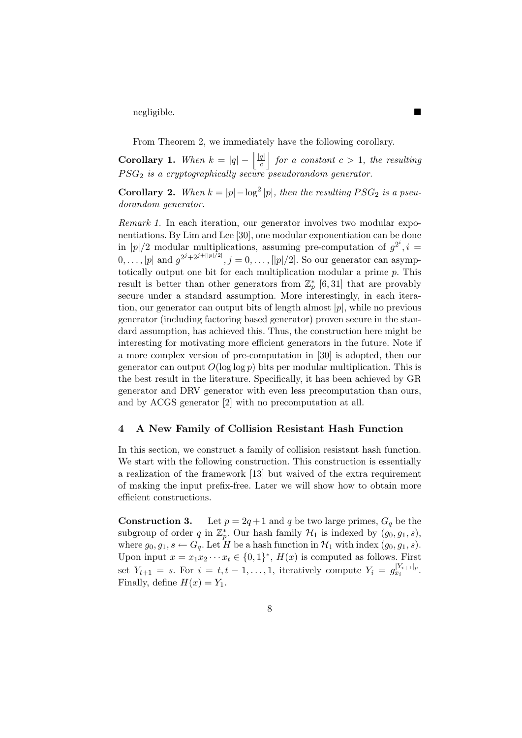negligible.

From Theorem 2, we immediately have the following corollary. k

Corollary 1. When  $k = |q| - \left|\frac{|q|}{q}\right|$ c for a constant  $c > 1$ , the resulting  $PSG_2$  is a cryptographically secure pseudorandom generator.

**Corollary 2.** When  $k = |p| - \log^2 |p|$ , then the resulting  $PSG_2$  is a pseudorandom generator.

Remark 1. In each iteration, our generator involves two modular exponentiations. By Lim and Lee [30], one modular exponentiation can be done in |p|/2 modular multiplications, assuming pre-computation of  $g^{2^i}$ , i =  $[0, \ldots, |p|]$  and  $g^{2^{j}+2^{j+|[p]/2]}}, j = 0, \ldots, |p|/2]$ . So our generator can asymptotically output one bit for each multiplication modular a prime p. This result is better than other generators from  $\mathbb{Z}_p^*$  [6,31] that are provably secure under a standard assumption. More interestingly, in each iteration, our generator can output bits of length almost  $|p|$ , while no previous generator (including factoring based generator) proven secure in the standard assumption, has achieved this. Thus, the construction here might be interesting for motivating more efficient generators in the future. Note if a more complex version of pre-computation in [30] is adopted, then our generator can output  $O(\log \log p)$  bits per modular multiplication. This is the best result in the literature. Specifically, it has been achieved by GR generator and DRV generator with even less precomputation than ours, and by ACGS generator [2] with no precomputation at all.

# 4 A New Family of Collision Resistant Hash Function

In this section, we construct a family of collision resistant hash function. We start with the following construction. This construction is essentially a realization of the framework [13] but waived of the extra requirement of making the input prefix-free. Later we will show how to obtain more efficient constructions.

**Construction 3.** Let  $p = 2q + 1$  and q be two large primes,  $G_q$  be the subgroup of order q in  $\mathbb{Z}_p^*$ . Our hash family  $\mathcal{H}_1$  is indexed by  $(g_0, g_1, s)$ , where  $g_0, g_1, s \leftarrow G_q$ . Let H be a hash function in  $\mathcal{H}_1$  with index  $(g_0, g_1, s)$ . Upon input  $x = x_1 x_2 \cdots x_t \in \{0,1\}^*, H(x)$  is computed as follows. First set  $Y_{t+1} = s$ . For  $i = t, t - 1, \ldots, 1$ , iteratively compute  $Y_i = g_{x_i}^{|Y_{i+1}|_p}$ . Finally, define  $H(x) = Y_1$ .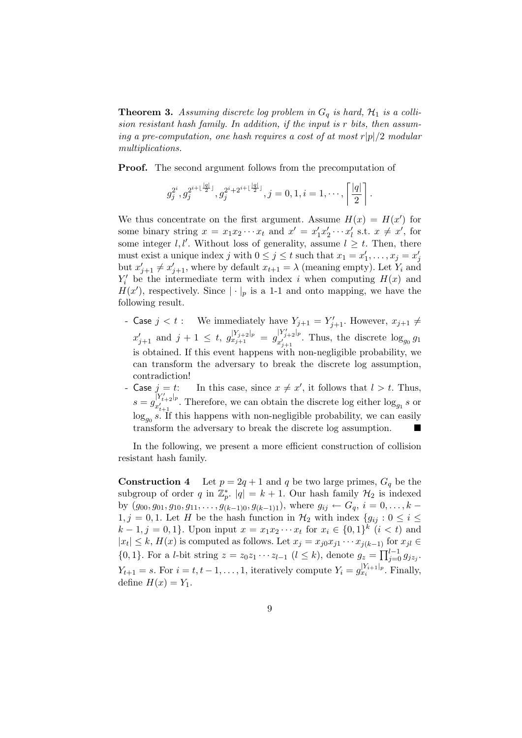**Theorem 3.** Assuming discrete log problem in  $G_q$  is hard,  $\mathcal{H}_1$  is a collision resistant hash family. In addition, if the input is r bits, then assuming a pre-computation, one hash requires a cost of at most  $r|p|/2$  modular multiplications.

Proof. The second argument follows from the precomputation of

$$
g_j^{2^i}, g_j^{2^{i+\lfloor \frac{|q|}{2} \rfloor}}, g_j^{2^i+2^{i+\lfloor \frac{|q|}{2} \rfloor}}, j=0,1, i=1,\cdot\cdot\cdot, \left\lceil \frac{|q|}{2} \right\rceil.
$$

We thus concentrate on the first argument. Assume  $H(x) = H(x')$  for some binary string  $x = x_1 x_2 \cdots x_t$  and  $x' = x'_1 x'_2 \cdots x'_t$  s.t.  $x \neq x'$ , for some integer l, l'. Without loss of generality, assume  $l \geq t$ . Then, there must exist a unique index j with  $0 \leq j \leq t$  such that  $x_1 = x'_1, \ldots, x_j = x'_j$ but  $x'_{j+1} \neq x'_{j+1}$ , where by default  $x_{t+1} = \lambda$  (meaning empty). Let  $Y_i$  and  $Y_i'$  be the intermediate term with index i when computing  $H(x)$  and  $H(x')$ , respectively. Since  $|\cdot|_p$  is a 1-1 and onto mapping, we have the following result.

- Case  $j < t$  : We immediately have  $Y_{j+1} = Y'_{j+1}$ . However,  $x_{j+1} \neq$  $x'_{j+1}$  and  $j+1 \leq t$ ,  $g_{x_{j+1}}^{|Y_{j+2}|_p} = g_{x'_{j+1}}^{|Y'_{j+2}|_p}$  $\int_{x_{j+1}}^{x_{j+2}+p}$ . Thus, the discrete  $\log_{g_0} g_1$ is obtained. If this event happens with non-negligible probability, we can transform the adversary to break the discrete log assumption, contradiction!
- Case  $j = t$ : In this case, since  $x \neq x'$ , it follows that  $l > t$ . Thus,  $s = g_{x'}^{\lceil Y^{\prime}_{t+2} \rceil_p}$  $x_{t+1}^{(1)}$ . Therefore, we can obtain the discrete log either  $\log_{g_1} s$  or  $\log_{g_0} s$ . If this happens with non-negligible probability, we can easily transform the adversary to break the discrete log assumption.

In the following, we present a more efficient construction of collision resistant hash family.

**Construction 4** Let  $p = 2q + 1$  and q be two large primes,  $G_q$  be the subgroup of order q in  $\mathbb{Z}_p^*$ .  $|q| = k + 1$ . Our hash family  $\mathcal{H}_2$  is indexed by  $(g_{00}, g_{01}, g_{10}, g_{11}, \ldots, g_{(k-1)0}, g_{(k-1)1})$ , where  $g_{ij} \leftarrow G_q$ ,  $i = 0, \ldots, k$  $1, j = 0, 1$ . Let H be the hash function in  $\mathcal{H}_2$  with index  $\{g_{ij} : 0 \le i \le n\}$  $k-1, j = 0, 1$ . Upon input  $x = x_1 x_2 \cdots x_t$  for  $x_i \in \{0, 1\}^k$   $(i < t)$  and  $|x_t| \leq k$ ,  $H(x)$  is computed as follows. Let  $x_j = x_{j0}x_{j1} \cdots x_{j(k-1)}$  for  $x_{jl} \in$  ${0, 1}$ . For a *l*-bit string  $z = z_0z_1 \cdots z_{l-1}$   $(l \le k)$ , denote  $g_z = \prod_{j=1}^{l-1}$  $\frac{i-1}{j=0} g_{jz_j}$ .  $Y_{t+1} = s$ . For  $i = t, t - 1, \ldots, 1$ , iteratively compute  $Y_i = g_{x_i}^{|Y_{i+1}|_p}$ . Finally, define  $H(x) = Y_1$ .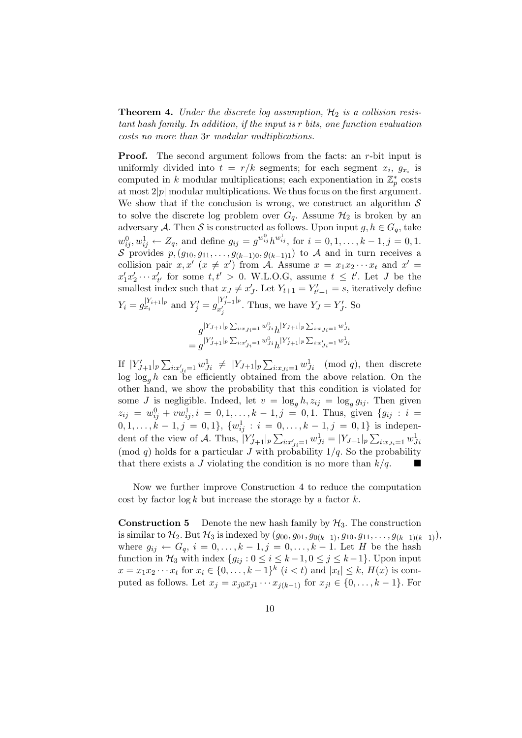**Theorem 4.** Under the discrete log assumption,  $\mathcal{H}_2$  is a collision resistant hash family. In addition, if the input is r bits, one function evaluation costs no more than 3r modular multiplications.

**Proof.** The second argument follows from the facts: an r-bit input is uniformly divided into  $t = r/k$  segments; for each segment  $x_i$ ,  $g_{x_i}$  is computed in k modular multiplications; each exponentiation in  $\mathbb{Z}_p^*$  costs at most  $2|p|$  modular multiplications. We thus focus on the first argument. We show that if the conclusion is wrong, we construct an algorithm  $\mathcal S$ to solve the discrete log problem over  $G_q$ . Assume  $H_2$  is broken by an adversary A. Then S is constructed as follows. Upon input  $g, h \in G_q$ , take  $w_{ij}^0, w_{ij}^1 \leftarrow Z_q$ , and define  $g_{ij} = g^{w_{ij}^0} h^{w_{ij}^1}$ , for  $i = 0, 1, ..., k - 1, j = 0, 1$ . S provides  $p,(g_{10},g_{11},\ldots,g_{(k-1)0},g_{(k-1)1})$  to A and in turn receives a collision pair  $x, x'$  ( $x \neq x'$ ) from A. Assume  $x = x_1 x_2 \cdots x_t$  and  $x' = x_1 x_2 \cdots x_t$  $x'_1x'_2\cdots x'_{t'}$  for some  $t, t' > 0$ . W.L.O.G, assume  $t \leq t'$ . Let J be the smallest index such that  $x_J \neq x'_J$ . Let  $Y_{t+1} = Y'_{t'+1} = s$ , iteratively define  $Y_i = g_{x_i}^{|Y_{i+1}|_p}$  and  $Y'_j = g_{x'_j}^{|Y'_{j+1}|_p}$  $x_j^{(I_j+1)^p}$ . Thus, we have  $Y_J = Y'_J$ . So

$$
g^{|Y_{J+1}|_p \sum_{i:x_{Ji}=1} w_{Ji}^0} h^{|Y_{J+1}|_p \sum_{i:x_{Ji}=1} w_{Ji}^1}
$$
  
= 
$$
g^{|Y'_{J+1}|_p \sum_{i:x'_{Ji}=1} w_{Ji}^0} h^{|Y'_{J+1}|_p \sum_{i:x'_{Ji}=1} w_{Ji}^1}
$$

If  $|Y'_{J+1}|_p$  $\overline{a}$  $\sum_{i:x'_{Ji}=1} w^1_{Ji} \neq |Y_{J+1}|_p$  $\overline{a}$  $i:x_{ji}=1$   $w_{ji}^1 \pmod{q}$ , then discrete  $\log \log_a h$  can be efficiently obtained from the above relation. On the other hand, we show the probability that this condition is violated for some *J* is negligible. Indeed, let  $v = \log_q h, z_{ij} = \log_q g_{ij}$ . Then given  $z_{ij} = w_{ij}^0 + vw_{ij}^1, i = 0, 1, \ldots, k - 1, j = 0, 1$ . Thus, given  $\{g_{ij} : i = 1\}$  $0, 1, \ldots, k-1, j = 0, 1$ ,  $\{w_{ij}^1 : i = 0, \ldots, k-1, j = 0, 1\}$  is independently dent of the view of A. Thus,  $|Y'_{J+1}|_p \sum_{i:x'_{J} = 1} w^1_{Ji} = |Y_{J+1}|_p \sum_{i:x_{J} = 1} w^1_{Ji}$ (mod q) holds for a particular J with probability  $1/q$ . So the probability that there exists a J violating the condition is no more than  $k/q$ .

Now we further improve Construction 4 to reduce the computation cost by factor  $\log k$  but increase the storage by a factor k.

**Construction 5** Denote the new hash family by  $\mathcal{H}_3$ . The construction is similar to  $\mathcal{H}_2$ . But  $\mathcal{H}_3$  is indexed by  $(g_{00}, g_{01}, g_{0(k-1)}, g_{10}, g_{11}, \ldots, g_{(k-1)(k-1)}),$ where  $g_{ij} \leftarrow G_q, i = 0, ..., k - 1, j = 0, ..., k - 1$ . Let H be the hash function in  $\mathcal{H}_3$  with index  $\{g_{ij} : 0 \le i \le k-1, 0 \le j \le k-1\}$ . Upon input  $x = x_1 x_2 \cdots x_t$  for  $x_i \in \{0, ..., k-1\}^k$   $(i < t)$  and  $|x_t| \leq k$ ,  $H(x)$  is computed as follows. Let  $x_j = x_{j0}x_{j1} \cdots x_{j(k-1)}$  for  $x_{jl} \in \{0, \ldots, k-1\}$ . For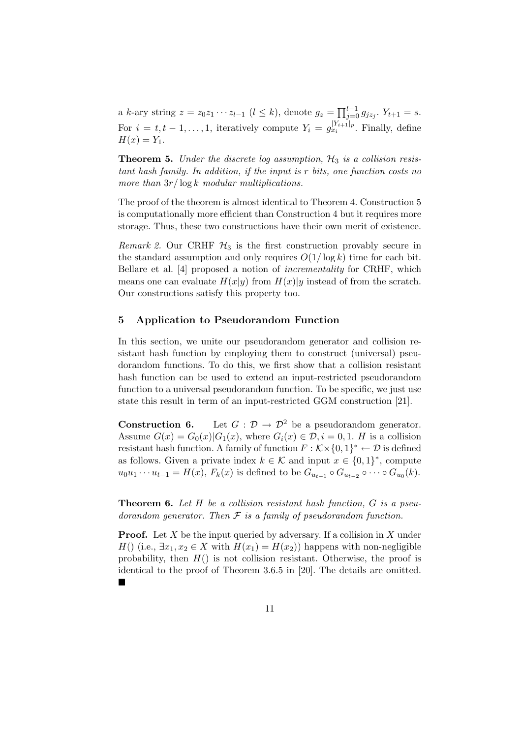a k-ary string  $z = z_0 z_1 \cdots z_{l-1}$   $(l \le k)$ , denote  $g_z = \prod_{j=0}^{l-1}$  $j=0 \ g_{jz_j}$ .  $Y_{t+1} = s$ . For  $i = t, t - 1, \ldots, 1$ , iteratively compute  $Y_i = g_{x_i}^{|Y_{i+1}|_p}$ . Finally, define  $H(x) = Y_1.$ 

**Theorem 5.** Under the discrete log assumption,  $H_3$  is a collision resistant hash family. In addition, if the input is r bits, one function costs no more than  $3r/\log k$  modular multiplications.

The proof of the theorem is almost identical to Theorem 4. Construction 5 is computationally more efficient than Construction 4 but it requires more storage. Thus, these two constructions have their own merit of existence.

Remark 2. Our CRHF  $H_3$  is the first construction provably secure in the standard assumption and only requires  $O(1/\log k)$  time for each bit. Bellare et al. [4] proposed a notion of incrementality for CRHF, which means one can evaluate  $H(x|y)$  from  $H(x)|y$  instead of from the scratch. Our constructions satisfy this property too.

## 5 Application to Pseudorandom Function

In this section, we unite our pseudorandom generator and collision resistant hash function by employing them to construct (universal) pseudorandom functions. To do this, we first show that a collision resistant hash function can be used to extend an input-restricted pseudorandom function to a universal pseudorandom function. To be specific, we just use state this result in term of an input-restricted GGM construction [21].

**Construction 6.** Let  $G : \mathcal{D} \to \mathcal{D}^2$  be a pseudorandom generator. Assume  $G(x) = G_0(x) |G_1(x)|$ , where  $G_i(x) \in \mathcal{D}, i = 0, 1$ . H is a collision resistant hash function. A family of function  $F : \mathcal{K} \times \{0,1\}^* \leftarrow \mathcal{D}$  is defined as follows. Given a private index  $k \in \mathcal{K}$  and input  $x \in \{0,1\}^*$ , compute  $u_0u_1 \cdots u_{t-1} = H(x), F_k(x)$  is defined to be  $G_{u_{t-1}} \circ G_{u_{t-2}} \circ \cdots \circ G_{u_0}(k)$ .

**Theorem 6.** Let  $H$  be a collision resistant hash function,  $G$  is a pseudorandom generator. Then  $\mathcal F$  is a family of pseudorandom function.

**Proof.** Let X be the input queried by adversary. If a collision in X under H() (i.e.,  $\exists x_1, x_2 \in X$  with  $H(x_1) = H(x_2)$ ) happens with non-negligible probability, then  $H()$  is not collision resistant. Otherwise, the proof is identical to the proof of Theorem 3.6.5 in [20]. The details are omitted. ¥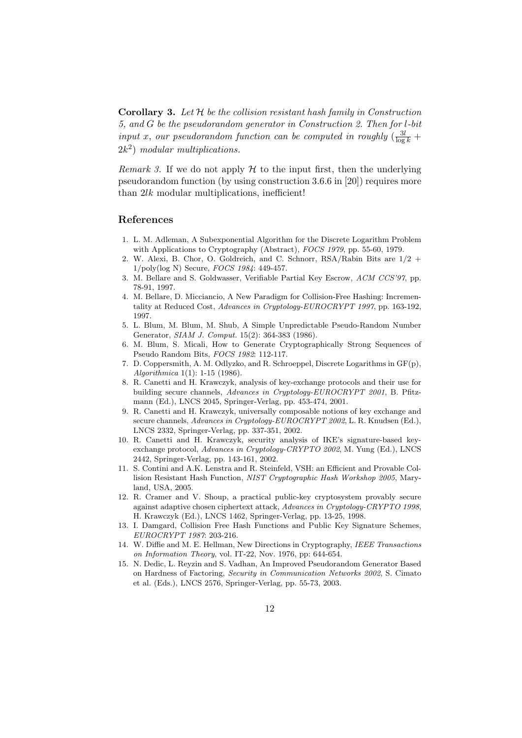**Corollary 3.** Let  $H$  be the collision resistant hash family in Construction 5, and G be the pseudorandom generator in Construction 2. Then for l-bit input x, our pseudorandom function can be computed in roughly  $\left(\frac{3l}{\log k} + \cdots\right)$  $2k^2$ ) modular multiplications.

Remark 3. If we do not apply  $\mathcal H$  to the input first, then the underlying pseudorandom function (by using construction 3.6.6 in [20]) requires more than  $2lk$  modular multiplications, inefficient!

#### References

- 1. L. M. Adleman, A Subexponential Algorithm for the Discrete Logarithm Problem with Applications to Cryptography (Abstract), FOCS 1979, pp. 55-60, 1979.
- 2. W. Alexi, B. Chor, O. Goldreich, and C. Schnorr, RSA/Rabin Bits are 1/2 + 1/poly(log N) Secure, FOCS 1984: 449-457.
- 3. M. Bellare and S. Goldwasser, Verifiable Partial Key Escrow, ACM CCS'97, pp. 78-91, 1997.
- 4. M. Bellare, D. Micciancio, A New Paradigm for Collision-Free Hashing: Incrementality at Reduced Cost, Advances in Cryptology-EUROCRYPT 1997, pp. 163-192, 1997.
- 5. L. Blum, M. Blum, M. Shub, A Simple Unpredictable Pseudo-Random Number Generator, SIAM J. Comput. 15(2): 364-383 (1986).
- 6. M. Blum, S. Micali, How to Generate Cryptographically Strong Sequences of Pseudo Random Bits, FOCS 1982: 112-117.
- 7. D. Coppersmith, A. M. Odlyzko, and R. Schroeppel, Discrete Logarithms in GF(p), Algorithmica 1(1): 1-15 (1986).
- 8. R. Canetti and H. Krawczyk, analysis of key-exchange protocols and their use for building secure channels, Advances in Cryptology-EUROCRYPT 2001, B. Pfitzmann (Ed.), LNCS 2045, Springer-Verlag, pp. 453-474, 2001.
- 9. R. Canetti and H. Krawczyk, universally composable notions of key exchange and secure channels, Advances in Cryptology-EUROCRYPT 2002, L. R. Knudsen (Ed.), LNCS 2332, Springer-Verlag, pp. 337-351, 2002.
- 10. R. Canetti and H. Krawczyk, security analysis of IKE's signature-based keyexchange protocol, Advances in Cryptology-CRYPTO 2002, M. Yung (Ed.), LNCS 2442, Springer-Verlag, pp. 143-161, 2002.
- 11. S. Contini and A.K. Lenstra and R. Steinfeld, VSH: an Efficient and Provable Collision Resistant Hash Function, NIST Cryptographic Hash Workshop 2005, Maryland, USA, 2005.
- 12. R. Cramer and V. Shoup, a practical public-key cryptosystem provably secure against adaptive chosen ciphertext attack, Advances in Cryptology-CRYPTO 1998, H. Krawczyk (Ed.), LNCS 1462, Springer-Verlag, pp. 13-25, 1998.
- 13. I. Damgard, Collision Free Hash Functions and Public Key Signature Schemes, EUROCRYPT 1987: 203-216.
- 14. W. Diffie and M. E. Hellman, New Directions in Cryptography, IEEE Transactions on Information Theory, vol. IT-22, Nov. 1976, pp: 644-654.
- 15. N. Dedic, L. Reyzin and S. Vadhan, An Improved Pseudorandom Generator Based on Hardness of Factoring, Security in Communication Networks 2002, S. Cimato et al. (Eds.), LNCS 2576, Springer-Verlag, pp. 55-73, 2003.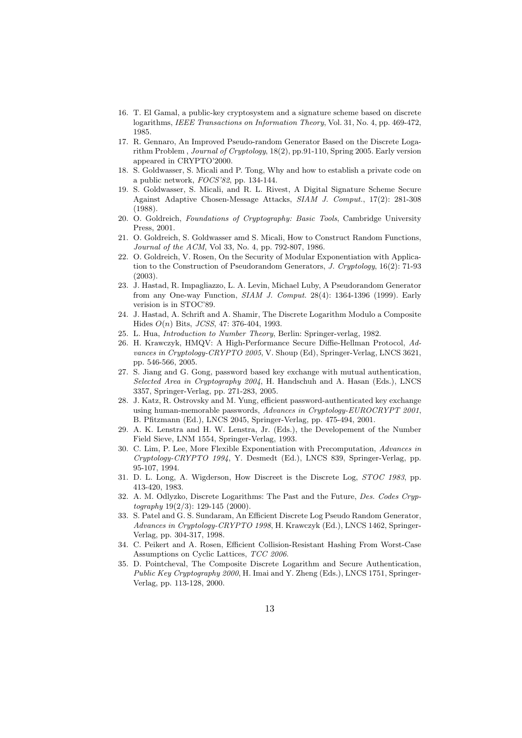- 16. T. El Gamal, a public-key cryptosystem and a signature scheme based on discrete logarithms, IEEE Transactions on Information Theory, Vol. 31, No. 4, pp. 469-472, 1985.
- 17. R. Gennaro, An Improved Pseudo-random Generator Based on the Discrete Logarithm Problem , Journal of Cryptology, 18(2), pp.91-110, Spring 2005. Early version appeared in CRYPTO'2000.
- 18. S. Goldwasser, S. Micali and P. Tong, Why and how to establish a private code on a public network, FOCS'82, pp. 134-144.
- 19. S. Goldwasser, S. Micali, and R. L. Rivest, A Digital Signature Scheme Secure Against Adaptive Chosen-Message Attacks, SIAM J. Comput., 17(2): 281-308 (1988).
- 20. O. Goldreich, Foundations of Cryptography: Basic Tools, Cambridge University Press, 2001.
- 21. O. Goldreich, S. Goldwasser amd S. Micali, How to Construct Random Functions, Journal of the ACM, Vol 33, No. 4, pp. 792-807, 1986.
- 22. O. Goldreich, V. Rosen, On the Security of Modular Exponentiation with Application to the Construction of Pseudorandom Generators, J. Cryptology, 16(2): 71-93  $(2003)$
- 23. J. Hastad, R. Impagliazzo, L. A. Levin, Michael Luby, A Pseudorandom Generator from any One-way Function, SIAM J. Comput. 28(4): 1364-1396 (1999). Early verision is in STOC'89.
- 24. J. Hastad, A. Schrift and A. Shamir, The Discrete Logarithm Modulo a Composite Hides O(n) Bits, JCSS, 47: 376-404, 1993.
- 25. L. Hua, Introduction to Number Theory, Berlin: Springer-verlag, 1982.
- 26. H. Krawczyk, HMQV: A High-Performance Secure Diffie-Hellman Protocol, Advances in Cryptology-CRYPTO 2005, V. Shoup (Ed), Springer-Verlag, LNCS 3621, pp. 546-566, 2005.
- 27. S. Jiang and G. Gong, password based key exchange with mutual authentication, Selected Area in Cryptography 2004, H. Handschuh and A. Hasan (Eds.), LNCS 3357, Springer-Verlag, pp. 271-283, 2005.
- 28. J. Katz, R. Ostrovsky and M. Yung, efficient password-authenticated key exchange using human-memorable passwords, Advances in Cryptology-EUROCRYPT 2001, B. Pfitzmann (Ed.), LNCS 2045, Springer-Verlag, pp. 475-494, 2001.
- 29. A. K. Lenstra and H. W. Lenstra, Jr. (Eds.), the Developement of the Number Field Sieve, LNM 1554, Springer-Verlag, 1993.
- 30. C. Lim, P. Lee, More Flexible Exponentiation with Precomputation, Advances in Cryptology-CRYPTO 1994, Y. Desmedt (Ed.), LNCS 839, Springer-Verlag, pp. 95-107, 1994.
- 31. D. L. Long, A. Wigderson, How Discreet is the Discrete Log, STOC 1983, pp. 413-420, 1983.
- 32. A. M. Odlyzko, Discrete Logarithms: The Past and the Future, Des. Codes Cryptography 19(2/3): 129-145 (2000).
- 33. S. Patel and G. S. Sundaram, An Efficient Discrete Log Pseudo Random Generator, Advances in Cryptology-CRYPTO 1998, H. Krawczyk (Ed.), LNCS 1462, Springer-Verlag, pp. 304-317, 1998.
- 34. C. Peikert and A. Rosen, Efficient Collision-Resistant Hashing From Worst-Case Assumptions on Cyclic Lattices, TCC 2006.
- 35. D. Pointcheval, The Composite Discrete Logarithm and Secure Authentication, Public Key Cryptography 2000, H. Imai and Y. Zheng (Eds.), LNCS 1751, Springer-Verlag, pp. 113-128, 2000.